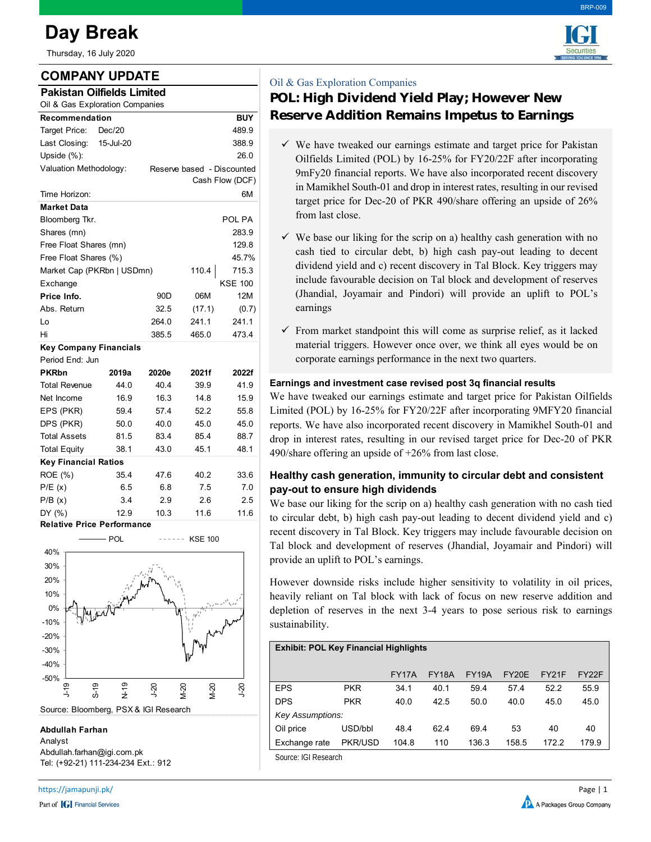# **Day Break**

Thursday, 16 July 2020

## **COMPANY UPDATE**

| <b>Pakistan Oilfields Limited</b> |               |  |  |  |
|-----------------------------------|---------------|--|--|--|
|                                   | $\sim$ $\sim$ |  |  |  |

| Oil & Gas Exploration Companies   |           |                                               |        |                |  |  |
|-----------------------------------|-----------|-----------------------------------------------|--------|----------------|--|--|
| Recommendation                    |           |                                               |        | <b>BUY</b>     |  |  |
| Target Price:                     | Dec/20    |                                               |        | 489.9          |  |  |
| Last Closing:                     | 15-Jul-20 |                                               |        | 388.9          |  |  |
| Upside $(\%)$ :                   |           |                                               |        | 26.0           |  |  |
| Valuation Methodology:            |           | Reserve based - Discounted<br>Cash Flow (DCF) |        |                |  |  |
| Time Horizon:                     |           |                                               |        | 6М             |  |  |
| <b>Market Data</b>                |           |                                               |        |                |  |  |
| Bloomberg Tkr.                    |           |                                               |        | POL PA         |  |  |
| Shares (mn)                       |           |                                               |        | 283.9          |  |  |
| Free Float Shares (mn)            |           |                                               |        | 129.8          |  |  |
| Free Float Shares (%)             |           |                                               |        | 45.7%          |  |  |
| Market Cap (PKRbn   USDmn)        |           |                                               | 110.4  | 715.3          |  |  |
| Exchange                          |           |                                               |        | <b>KSE 100</b> |  |  |
| Price Info.                       |           | 90D                                           | 06M    | 12M            |  |  |
| Abs. Return                       |           | 32.5                                          | (17.1) | (0.7)          |  |  |
| Lo                                |           | 264.0                                         | 241.1  | 241.1          |  |  |
| Hi                                |           | 385.5                                         | 465.0  | 473.4          |  |  |
| <b>Key Company Financials</b>     |           |                                               |        |                |  |  |
| Period End: Jun                   |           |                                               |        |                |  |  |
| <b>PKRbn</b>                      | 2019a     | 2020e                                         | 2021f  | 2022f          |  |  |
| <b>Total Revenue</b>              | 44.0      | 40.4                                          | 39.9   | 41.9           |  |  |
| Net Income                        | 16.9      | 16.3                                          | 14.8   | 15.9           |  |  |
| EPS (PKR)                         | 59.4      | 57.4                                          | 52.2   | 55.8           |  |  |
| DPS (PKR)                         | 50.0      | 40.0                                          | 45.0   | 45.0           |  |  |
| <b>Total Assets</b>               | 81.5      | 83.4                                          | 85.4   | 88.7           |  |  |
| <b>Total Equity</b>               | 38.1      | 43.0                                          | 45.1   | 48.1           |  |  |
| <b>Key Financial Ratios</b>       |           |                                               |        |                |  |  |
| ROE (%)                           | 35.4      | 47.6                                          | 40.2   | 33.6           |  |  |
| P/E(x)                            | 6.5       | 6.8                                           | 7.5    | 7.0            |  |  |
| P/B(x)                            | 3.4       | 2.9                                           | 2.6    | 2.5            |  |  |
| DY (%)                            | 12.9      | 10.3                                          | 11.6   | 11.6           |  |  |
| <b>Relative Price Performance</b> |           |                                               |        |                |  |  |



**Abdullah Farhan**

Analyst Abdullah.farhan@igi.com.pk Tel: (+92-21) 111-234-234 Ext.: 912



BRP-009

### Oil & Gas Exploration Companies

## **POL: High Dividend Yield Play; However New Reserve Addition Remains Impetus to Earnings**

- $\checkmark$  We have tweaked our earnings estimate and target price for Pakistan Oilfields Limited (POL) by 16-25% for FY20/22F after incorporating 9mFy20 financial reports. We have also incorporated recent discovery in Mamikhel South-01 and drop in interest rates, resulting in our revised target price for Dec-20 of PKR 490/share offering an upside of 26% from last close.
- $\checkmark$  We base our liking for the scrip on a) healthy cash generation with no cash tied to circular debt, b) high cash pay-out leading to decent dividend yield and c) recent discovery in Tal Block. Key triggers may include favourable decision on Tal block and development of reserves (Jhandial, Joyamair and Pindori) will provide an uplift to POL's earnings
- $\checkmark$  From market standpoint this will come as surprise relief, as it lacked material triggers. However once over, we think all eyes would be on corporate earnings performance in the next two quarters.

#### **Earnings and investment case revised post 3q financial results**

We have tweaked our earnings estimate and target price for Pakistan Oilfields Limited (POL) by 16-25% for FY20/22F after incorporating 9MFY20 financial reports. We have also incorporated recent discovery in Mamikhel South-01 and drop in interest rates, resulting in our revised target price for Dec-20 of PKR 490/share offering an upside of +26% from last close.

#### **Healthy cash generation, immunity to circular debt and consistent pay-out to ensure high dividends**

We base our liking for the scrip on a) healthy cash generation with no cash tied to circular debt, b) high cash pay-out leading to decent dividend yield and c) recent discovery in Tal Block. Key triggers may include favourable decision on Tal block and development of reserves (Jhandial, Joyamair and Pindori) will provide an uplift to POL's earnings.

However downside risks include higher sensitivity to volatility in oil prices, heavily reliant on Tal block with lack of focus on new reserve addition and depletion of reserves in the next 3-4 years to pose serious risk to earnings sustainability.

#### **Exhibit: POL Key Financial Highlights**

|                     |                         | FY17A | <b>FY18A</b> | <b>FY19A</b> | FY20E | FY21F | FY <sub>2</sub> <sub>2</sub> F |  |  |
|---------------------|-------------------------|-------|--------------|--------------|-------|-------|--------------------------------|--|--|
| <b>EPS</b>          | <b>PKR</b>              | 34.1  | 40.1         | 59.4         | 57.4  | 52.2  | 55.9                           |  |  |
| <b>DPS</b>          | <b>PKR</b>              | 40.0  | 42.5         | 50.0         | 40.0  | 45.0  | 45.0                           |  |  |
|                     | <b>Key Assumptions:</b> |       |              |              |       |       |                                |  |  |
| Oil price           | USD/bbl                 | 48.4  | 62.4         | 69.4         | 53    | 40    | 40                             |  |  |
| Exchange rate       | PKR/USD                 | 104.8 | 110          | 136.3        | 158.5 | 1722  | 179.9                          |  |  |
| Course ICL Desearch |                         |       |              |              |       |       |                                |  |  |

Source: IGI Research

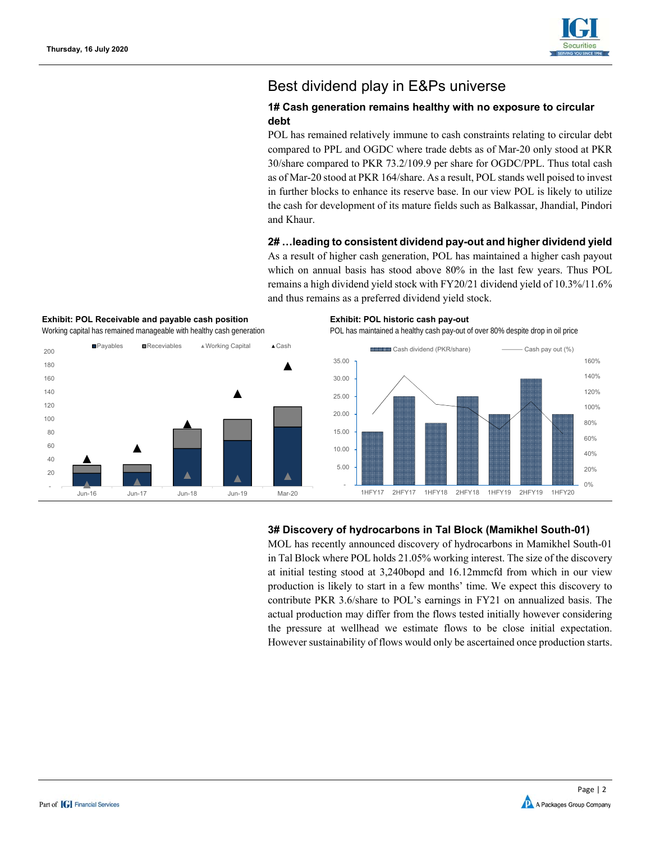

## Best dividend play in E&Ps universe

#### **1# Cash generation remains healthy with no exposure to circular debt**

POL has remained relatively immune to cash constraints relating to circular debt compared to PPL and OGDC where trade debts as of Mar-20 only stood at PKR 30/share compared to PKR 73.2/109.9 per share for OGDC/PPL. Thus total cash as of Mar-20 stood at PKR 164/share. As a result, POL stands well poised to invest in further blocks to enhance its reserve base. In our view POL is likely to utilize the cash for development of its mature fields such as Balkassar, Jhandial, Pindori and Khaur.

#### **2# …leading to consistent dividend pay-out and higher dividend yield**

As a result of higher cash generation, POL has maintained a higher cash payout which on annual basis has stood above 80% in the last few years. Thus POL remains a high dividend yield stock with FY20/21 dividend yield of 10.3%/11.6% and thus remains as a preferred dividend yield stock.



#### **Exhibit: POL Receivable and payable cash position Exhibit: POL historic cash pay-out**

Working capital has remained manageable with healthy cash generation POL has maintained a healthy cash pay-out of over 80% despite drop in oil price



#### **3# Discovery of hydrocarbons in Tal Block (Mamikhel South-01)**

MOL has recently announced discovery of hydrocarbons in Mamikhel South-01 in Tal Block where POL holds 21.05% working interest. The size of the discovery at initial testing stood at 3,240bopd and 16.12mmcfd from which in our view production is likely to start in a few months' time. We expect this discovery to contribute PKR 3.6/share to POL's earnings in FY21 on annualized basis. The actual production may differ from the flows tested initially however considering the pressure at wellhead we estimate flows to be close initial expectation. However sustainability of flows would only be ascertained once production starts.

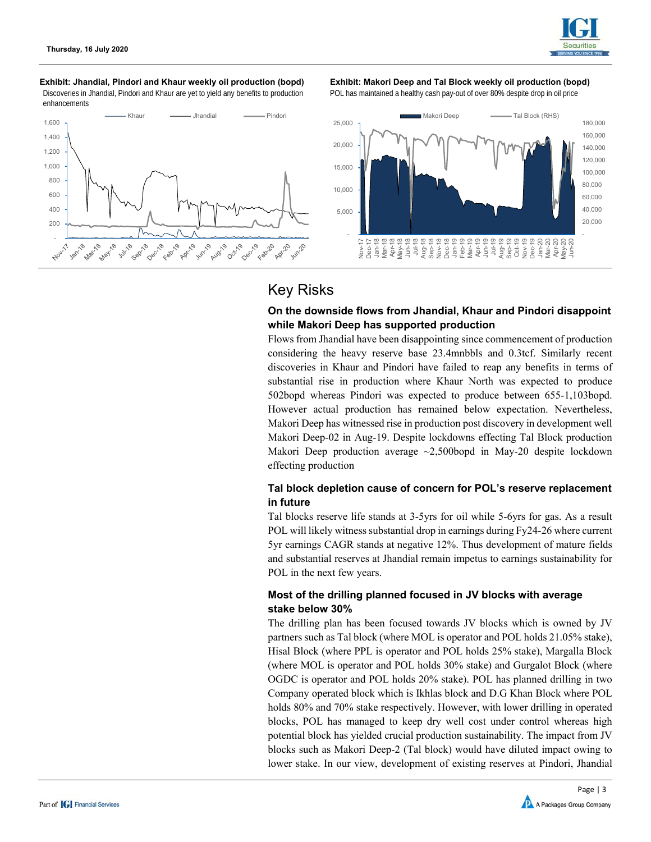

#### **Exhibit: Jhandial, Pindori and Khaur weekly oil production (bopd) Exhibit: Makori Deep and Tal Block weekly oil production (bopd)**  Discoveries in Jhandial, Pindori and Khaur are yet to yield any benefits to production enhancements



POL has maintained a healthy cash pay-out of over 80% despite drop in oil price



## Key Risks

#### **On the downside flows from Jhandial, Khaur and Pindori disappoint while Makori Deep has supported production**

Flows from Jhandial have been disappointing since commencement of production considering the heavy reserve base 23.4mnbbls and 0.3tcf. Similarly recent discoveries in Khaur and Pindori have failed to reap any benefits in terms of substantial rise in production where Khaur North was expected to produce 502bopd whereas Pindori was expected to produce between 655-1,103bopd. However actual production has remained below expectation. Nevertheless, Makori Deep has witnessed rise in production post discovery in development well Makori Deep-02 in Aug-19. Despite lockdowns effecting Tal Block production Makori Deep production average ~2,500bopd in May-20 despite lockdown effecting production

#### **Tal block depletion cause of concern for POL's reserve replacement in future**

Tal blocks reserve life stands at 3-5yrs for oil while 5-6yrs for gas. As a result POL will likely witness substantial drop in earnings during Fy24-26 where current 5yr earnings CAGR stands at negative 12%. Thus development of mature fields and substantial reserves at Jhandial remain impetus to earnings sustainability for POL in the next few years.

#### **Most of the drilling planned focused in JV blocks with average stake below 30%**

The drilling plan has been focused towards JV blocks which is owned by JV partners such as Tal block (where MOL is operator and POL holds 21.05% stake), Hisal Block (where PPL is operator and POL holds 25% stake), Margalla Block (where MOL is operator and POL holds 30% stake) and Gurgalot Block (where OGDC is operator and POL holds 20% stake). POL has planned drilling in two Company operated block which is Ikhlas block and D.G Khan Block where POL holds 80% and 70% stake respectively. However, with lower drilling in operated blocks, POL has managed to keep dry well cost under control whereas high potential block has yielded crucial production sustainability. The impact from JV blocks such as Makori Deep-2 (Tal block) would have diluted impact owing to lower stake. In our view, development of existing reserves at Pindori, Jhandial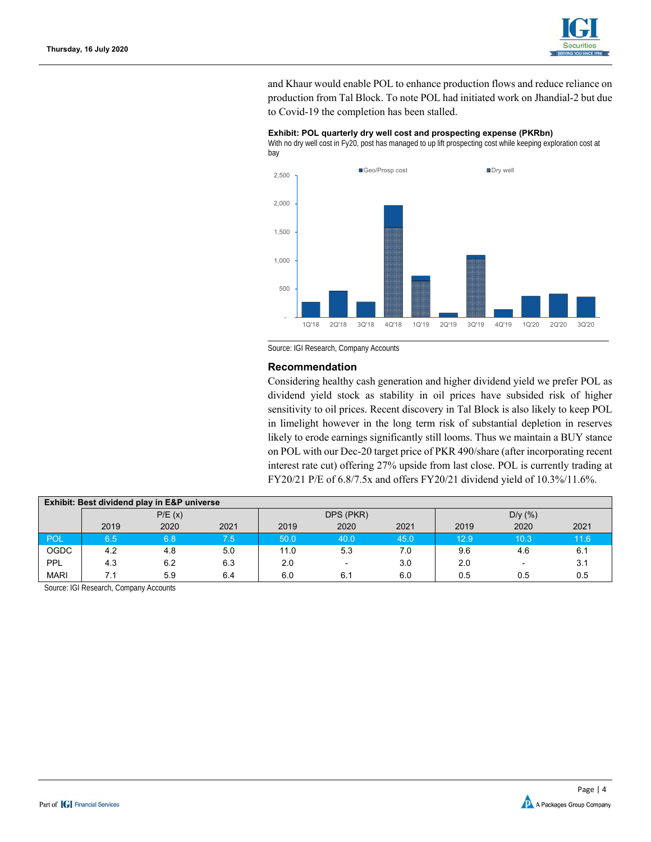

and Khaur would enable POL to enhance production flows and reduce reliance on production from Tal Block. To note POL had initiated work on Jhandial-2 but due to Covid-19 the completion has been stalled.



**Exhibit: POL quarterly dry well cost and prospecting expense (PKRbn)**  With no dry well cost in Fy20, post has managed to up lift prospecting cost while keeping exploration cost at

Source: IGI Research, Company Accounts

#### **Recommendation**

Considering healthy cash generation and higher dividend yield we prefer POL as dividend yield stock as stability in oil prices have subsided risk of higher sensitivity to oil prices. Recent discovery in Tal Block is also likely to keep POL in limelight however in the long term risk of substantial depletion in reserves likely to erode earnings significantly still looms. Thus we maintain a BUY stance on POL with our Dec-20 target price of PKR 490/share (after incorporating recent interest rate cut) offering 27% upside from last close. POL is currently trading at FY20/21 P/E of 6.8/7.5x and offers FY20/21 dividend yield of 10.3%/11.6%.

| Exhibit: Best dividend play in E&P universe |        |      |      |           |                          |      |         |      |      |  |
|---------------------------------------------|--------|------|------|-----------|--------------------------|------|---------|------|------|--|
|                                             | P/E(x) |      |      | DPS (PKR) |                          |      | D/y (%) |      |      |  |
|                                             | 2019   | 2020 | 2021 | 2019      | 2020                     | 2021 | 2019    | 2020 | 2021 |  |
| POL                                         | 6.5    | 6.8  | 7.5  | 50.0      | 40.0                     | 45.0 | 12.9    | 10.3 | 11.6 |  |
| <b>OGDC</b>                                 | 4.2    | 4.8  | 5.0  | 11.0      | 5.3                      | 7.0  | 9.6     | 4.6  | 6.1  |  |
| PPL                                         | 4.3    | 6.2  | 6.3  | 2.0       | $\overline{\phantom{0}}$ | 3.0  | 2.0     |      | 3.1  |  |
| <b>MARI</b>                                 | 7.1    | 5.9  | 6.4  | 6.0       | 6.1                      | 6.0  | 0.5     | 0.5  | 0.5  |  |

Source: IGI Research, Company Accounts